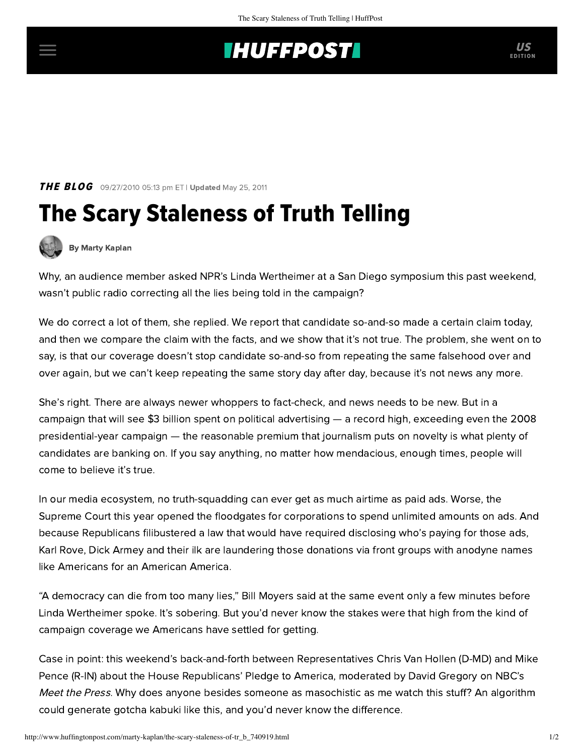## **INUFFPOSTI** US

**THE BLOG** 09/27/2010 05:13 pm ET | Updated May 25, 2011

## The Scary Staleness of Truth Telling



[By Marty Kaplan](http://www.huffingtonpost.com/author/marty-kaplan)

Why, an audience member asked NPR's Linda Wertheimer at a San Diego [symposium](http://www.sunbutterflydove.com/Symposium.html) this past weekend, wasn't public radio correcting all the lies being told in the campaign?

We do correct a lot of them, she replied. We report that candidate so-and-so made a certain claim today, and then we compare the claim with the facts, and we show that it's not true. The problem, she went on to say, is that our coverage doesn't stop candidate so-and-so from repeating the same falsehood over and over again, but we can't keep repeating the same story day after day, because it's not news any more.

She's right. There are always newer whoppers to fact-check, and news needs to be new. But in a campaign that will see [\\$3 billion](http://www.hollywoodreporter.com/hr/content_display/television/news/e3i7537afebd91a441c9b977e99d0c0bb1d) spent on political advertising — a record high, exceeding even the 2008 presidential-year campaign — the reasonable premium that journalism puts on novelty is what plenty of candidates are banking on. If you say anything, no matter how mendacious, enough times, people will come to believe it's true.

In our media ecosystem, no truth-squadding can ever get as much airtime as paid ads. Worse, the Supreme Court this year opened the floodgates for corporations to spend unlimited amounts on ads. And because Republicans filibustered a law that would have required disclosing who's paying for those ads, [Karl Rove,](http://www.nytimes.com/2010/09/26/us/26rove.html?_r=1&scp=2&sq=karl%20rove&st=cse) Dick Arme[y and their ilk](http://www.nytimes.com/2010/09/24/us/politics/24donate.html) are laundering those donations via front groups with anodyne names like Americans for an American America.

"A democracy can die from too many lies," Bill Moyers said at the same event only a few minutes before Linda Wertheimer spoke. It's sobering. But you'd never know the stakes were that high from the kind of campaign coverage we Americans have settled for getting.

Case in point: this weekend's back-and-forth between Representatives Chris Van Hollen (D-MD) and Mike Pence (R-IN) about the House Republicans' Pledge to America, moderated by David Gregory on NBC's [Meet the Press](http://www.msnbc.msn.com/id/39352643/ns/meet_the_press-transcripts). Why does anyone besides someone as masochistic as me watch this stuff? An algorithm could generate gotcha kabuki like this, and you'd never know the difference.